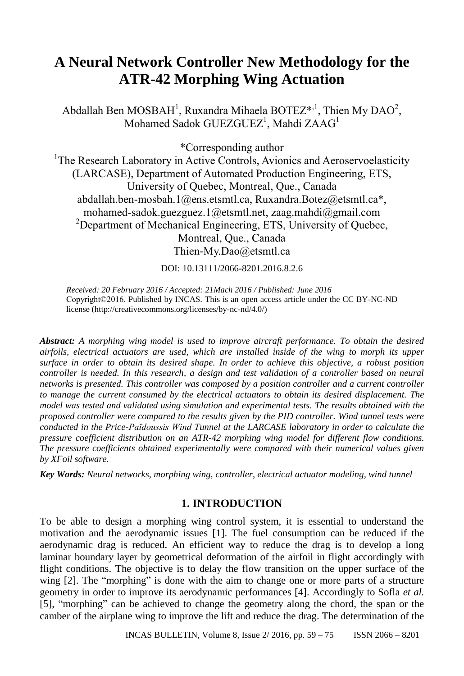# **A Neural Network Controller New Methodology for the ATR-42 Morphing Wing Actuation**

Abdallah Ben MOSBAH<sup>1</sup>, Ruxandra Mihaela BOTEZ\*,<sup>1</sup>, Thien My DAO<sup>2</sup>, Mohamed Sadok GUEZGUEZ<sup>1</sup>, Mahdi ZAAG<sup>1</sup>

\*Corresponding author

<sup>1</sup>The Research Laboratory in Active Controls, Avionics and Aeroservoelasticity (LARCASE), Department of Automated Production Engineering, ETS, University of Quebec, Montreal, Que., Canada abdallah.ben-mosbah.1@ens.etsmtl.ca, Ruxandra.Botez@etsmtl.ca\*, [mohamed-sadok.guezguez.1@etsmtl.net,](mailto:mohamed-sadok.guezguez.1@etsmtl.net) [zaag.mahdi@gmail.com](mailto:zaag.mahdi@gmail.com) <sup>2</sup>Department of Mechanical Engineering, ETS, University of Quebec, Montreal, Que., Canada [Thien-My.Dao@etsmtl.ca](mailto:Thien-My.Dao@etsmtl.ca)

DOI: 10.13111/2066-8201.2016.8.2.6

*Received: 20 February 2016 / Accepted: 21Mach 2016 / Published: June 2016* Copyright©2016. Published by INCAS. This is an open access article under the CC BY-NC-ND license (http://creativecommons.org/licenses/by-nc-nd/4.0/)

*Abstract: A morphing wing model is used to improve aircraft performance. To obtain the desired airfoils, electrical actuators are used, which are installed inside of the wing to morph its upper surface in order to obtain its desired shape. In order to achieve this objective, a robust position controller is needed. In this research, a design and test validation of a controller based on neural networks is presented. This controller was composed by a position controller and a current controller to manage the current consumed by the electrical actuators to obtain its desired displacement. The model was tested and validated using simulation and experimental tests. The results obtained with the proposed controller were compared to the results given by the PID controller. Wind tunnel tests were conducted in the Price-Païdoussis Wind Tunnel at the LARCASE laboratory in order to calculate the pressure coefficient distribution on an ATR-42 morphing wing model for different flow conditions. The pressure coefficients obtained experimentally were compared with their numerical values given by XFoil software.*

*Key Words: Neural networks, morphing wing, controller, electrical actuator modeling, wind tunnel*

# **1. INTRODUCTION**

To be able to design a morphing wing control system, it is essential to understand the motivation and the aerodynamic issues [1]. The fuel consumption can be reduced if the aerodynamic drag is reduced. An efficient way to reduce the drag is to develop a long laminar boundary layer by geometrical deformation of the airfoil in flight accordingly with flight conditions. The objective is to delay the flow transition on the upper surface of the wing [2]. The "morphing" is done with the aim to change one or more parts of a structure geometry in order to improve its aerodynamic performances [4]. Accordingly to Sofla *et al.* [5], "morphing" can be achieved to change the geometry along the chord, the span or the camber of the airplane wing to improve the lift and reduce the drag. The determination of the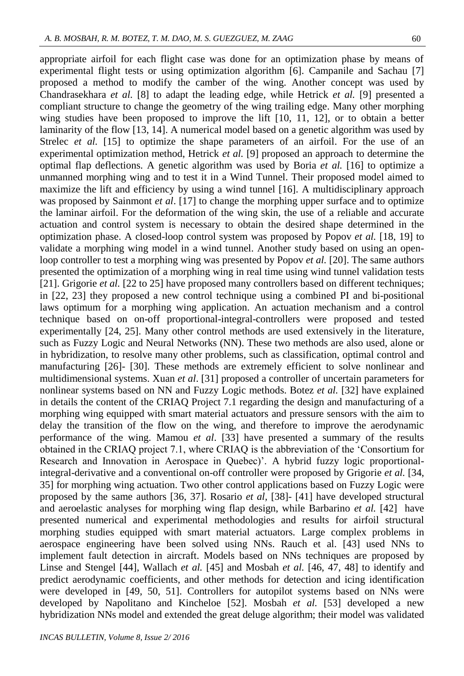appropriate airfoil for each flight case was done for an optimization phase by means of experimental flight tests or using optimization algorithm [6]. Campanile and Sachau [7] proposed a method to modify the camber of the wing. Another concept was used by Chandrasekhara *et al.* [8] to adapt the leading edge, while Hetrick *et al.* [9] presented a compliant structure to change the geometry of the wing trailing edge. Many other morphing wing studies have been proposed to improve the lift [10, 11, 12], or to obtain a better laminarity of the flow [13, 14]. A numerical model based on a genetic algorithm was used by Strelec *et al.* [15] to optimize the shape parameters of an airfoil. For the use of an experimental optimization method, Hetrick *et al.* [9] proposed an approach to determine the optimal flap deflections. A genetic algorithm was used by Boria *et al.* [16] to optimize a unmanned morphing wing and to test it in a Wind Tunnel. Their proposed model aimed to maximize the lift and efficiency by using a wind tunnel [16]. A multidisciplinary approach was proposed by Sainmont *et al*. [17] to change the morphing upper surface and to optimize the laminar airfoil. For the deformation of the wing skin, the use of a reliable and accurate actuation and control system is necessary to obtain the desired shape determined in the optimization phase. A closed-loop control system was proposed by Popov *et al.* [18, 19] to validate a morphing wing model in a wind tunnel. Another study based on using an openloop controller to test a morphing wing was presented by Popov *et al.* [20]. The same authors presented the optimization of a morphing wing in real time using wind tunnel validation tests [21]. Grigorie et al. [22 to 25] have proposed many controllers based on different techniques; in [22, 23] they proposed a new control technique using a combined PI and bi-positional laws optimum for a morphing wing application. An actuation mechanism and a control technique based on on-off proportional-integral-controllers were proposed and tested experimentally [24, 25]. Many other control methods are used extensively in the literature, such as Fuzzy Logic and Neural Networks (NN). These two methods are also used, alone or in hybridization, to resolve many other problems, such as classification, optimal control and manufacturing [26]- [30]. These methods are extremely efficient to solve nonlinear and multidimensional systems. Xuan *et al*. [31] proposed a controller of uncertain parameters for nonlinear systems based on NN and Fuzzy Logic methods. Botez *et al.* [32] have explained in details the content of the CRIAQ Project 7.1 regarding the design and manufacturing of a morphing wing equipped with smart material actuators and pressure sensors with the aim to delay the transition of the flow on the wing, and therefore to improve the aerodynamic performance of the wing. Mamou *et al*. [33] have presented a summary of the results obtained in the CRIAQ project 7.1, where CRIAQ is the abbreviation of the 'Consortium for Research and Innovation in Aerospace in Quebec)'. A hybrid fuzzy logic proportionalintegral-derivative and a conventional on-off controller were proposed by Grigorie *et al.* [34, 35] for morphing wing actuation. Two other control applications based on Fuzzy Logic were proposed by the same authors [36, 37]. Rosario *et al,* [38]- [41] have developed structural and aeroelastic analyses for morphing wing flap design, while Barbarino *et al.* [42] have presented numerical and experimental methodologies and results for airfoil structural morphing studies equipped with smart material actuators. Large complex problems in aerospace engineering have been solved using NNs. Rauch et al. [43] used NNs to implement fault detection in aircraft. Models based on NNs techniques are proposed by Linse and Stengel [44], Wallach *et al.* [45] and Mosbah *et al.* [46, 47, 48] to identify and predict aerodynamic coefficients, and other methods for detection and icing identification were developed in [49, 50, 51]. Controllers for autopilot systems based on NNs were developed by Napolitano and Kincheloe [52]. Mosbah *et al.* [53] developed a new hybridization NNs model and extended the great deluge algorithm; their model was validated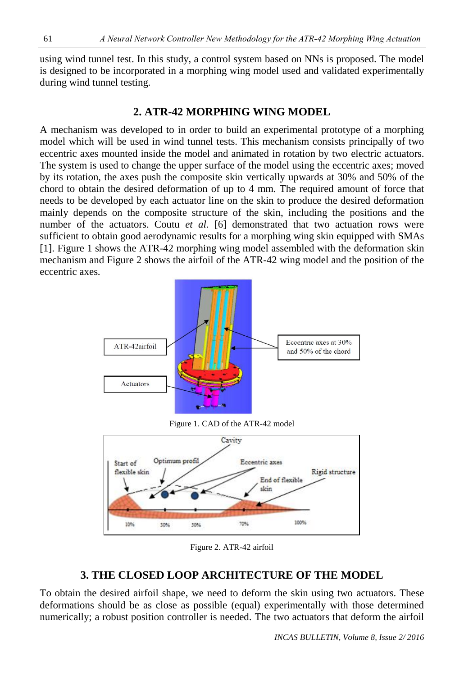using wind tunnel test. In this study, a control system based on NNs is proposed. The model is designed to be incorporated in a morphing wing model used and validated experimentally during wind tunnel testing.

## **2. ATR-42 MORPHING WING MODEL**

A mechanism was developed to in order to build an experimental prototype of a morphing model which will be used in wind tunnel tests. This mechanism consists principally of two eccentric axes mounted inside the model and animated in rotation by two electric actuators. The system is used to change the upper surface of the model using the eccentric axes; moved by its rotation, the axes push the composite skin vertically upwards at 30% and 50% of the chord to obtain the desired deformation of up to 4 mm. The required amount of force that needs to be developed by each actuator line on the skin to produce the desired deformation mainly depends on the composite structure of the skin, including the positions and the number of the actuators. Coutu *et al.* [6] demonstrated that two actuation rows were sufficient to obtain good aerodynamic results for a morphing wing skin equipped with SMAs [1]. Figure 1 shows the ATR-42 morphing wing model assembled with the deformation skin mechanism and Figure 2 shows the airfoil of the ATR-42 wing model and the position of the eccentric axes.



Figure 2. ATR-42 airfoil

# **3. THE CLOSED LOOP ARCHITECTURE OF THE MODEL**

To obtain the desired airfoil shape, we need to deform the skin using two actuators. These deformations should be as close as possible (equal) experimentally with those determined numerically; a robust position controller is needed. The two actuators that deform the airfoil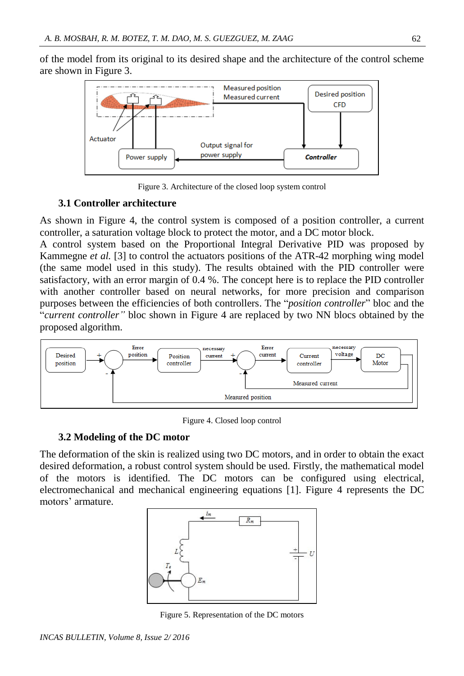of the model from its original to its desired shape and the architecture of the control scheme are shown in Figure 3.



Figure 3. Architecture of the closed loop system control

#### **3.1 Controller architecture**

As shown in Figure 4, the control system is composed of a position controller, a current controller, a saturation voltage block to protect the motor, and a DC motor block.

A control system based on the Proportional Integral Derivative PID was proposed by Kammegne *et al.* [3] to control the actuators positions of the ATR-42 morphing wing model (the same model used in this study). The results obtained with the PID controller were satisfactory, with an error margin of 0.4 %. The concept here is to replace the PID controller with another controller based on neural networks, for more precision and comparison purposes between the efficiencies of both controllers. The "*position controller*" bloc and the "*current controller"* bloc shown in Figure 4 are replaced by two NN blocs obtained by the proposed algorithm.



Figure 4. Closed loop control

#### **3.2 Modeling of the DC motor**

The deformation of the skin is realized using two DC motors, and in order to obtain the exact desired deformation, a robust control system should be used. Firstly, the mathematical model of the motors is identified. The DC motors can be configured using electrical, electromechanical and mechanical engineering equations [1]. Figure 4 represents the DC motors' armature.



Figure 5. Representation of the DC motors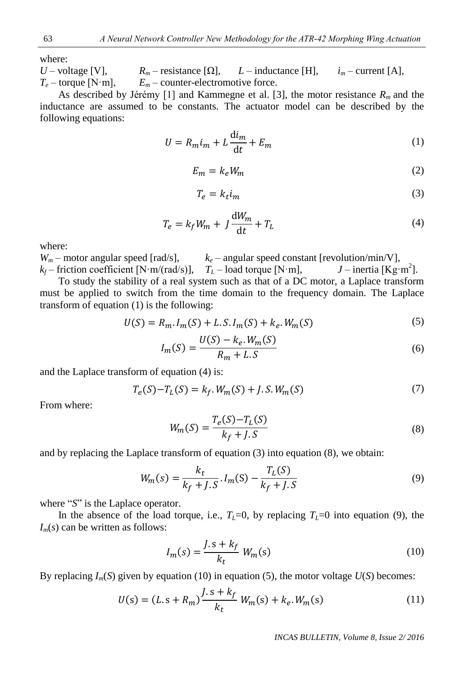where:

*U* – voltage [V],  $R_m$  – resistance [ $\Omega$ ],  $L$  – inductance [H],  $i_m$  – current [A],  $T_e$  – torque [N·m],  $E_m$  – counter-electromotive force.

As described by Jérémy [1] and Kammegne et al. [3], the motor resistance *Rm* and the inductance are assumed to be constants. The actuator model can be described by the following equations:

$$
U = R_m i_m + L \frac{di_m}{dt} + E_m \tag{1}
$$

$$
E_m = k_e W_m \tag{2}
$$

$$
T_e = k_t i_m \tag{3}
$$

$$
T_e = k_f W_m + J \frac{dW_m}{dt} + T_L \tag{4}
$$

where:

 $W_m$  – motor angular speed [rad/s],  $k_e$  – angular speed constant [revolution/min/V],  $k_f$  – friction coefficient [N·m/(rad/s)],  $T_L$  – load torque [N·m],  $J$  – inertia [Kg·m<sup>2</sup>].

To study the stability of a real system such as that of a DC motor, a Laplace transform must be applied to switch from the time domain to the frequency domain. The Laplace transform of equation (1) is the following:

$$
U(S) = R_m I_m(S) + L.S.I_m(S) + k_e.W_m(S)
$$
\n(5)

$$
I_m(S) = \frac{U(S) - k_e \cdot W_m(S)}{R_m + L.S}
$$
 (6)

and the Laplace transform of equation (4) is:

$$
T_e(S) - T_L(S) = k_f \cdot W_m(S) + J \cdot S \cdot W_m(S) \tag{7}
$$

From where:

$$
W_m(S) = \frac{T_e(S) - T_L(S)}{k_f + J.S}
$$
\n(8)

and by replacing the Laplace transform of equation (3) into equation (8), we obtain:

$$
W_m(s) = \frac{k_t}{k_f + J.S} \cdot I_m(S) - \frac{T_L(S)}{k_f + J.S}
$$
(9)

where "*S*" is the Laplace operator.

In the absence of the load torque, i.e.,  $T_L=0$ , by replacing  $T_L=0$  into equation (9), the  $I_m(s)$  can be written as follows:

$$
I_m(s) = \frac{J \cdot s + k_f}{k_t} W_m(s) \tag{10}
$$

By replacing  $I_m(S)$  given by equation (10) in equation (5), the motor voltage  $U(S)$  becomes:

$$
U(s) = (L \cdot s + R_m) \frac{J \cdot s + k_f}{k_t} W_m(s) + k_e W_m(s)
$$
 (11)

*INCAS BULLETIN, Volume 8, Issue 2/ 2016*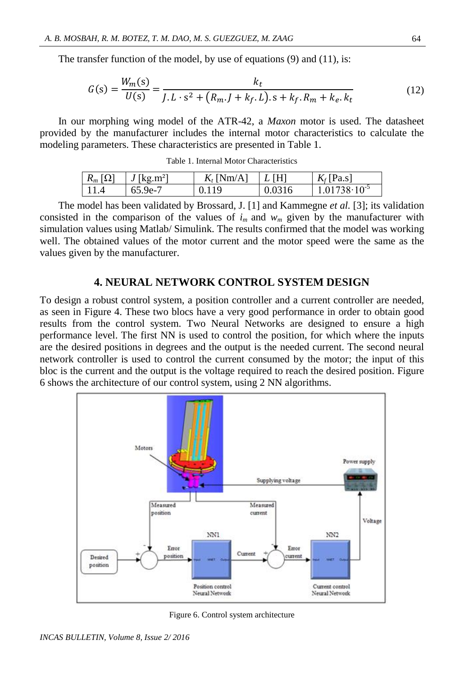The transfer function of the model, by use of equations (9) and (11), is:

$$
G(s) = \frac{W_m(s)}{U(s)} = \frac{k_t}{J \cdot L \cdot s^2 + (R_m \cdot J + k_f \cdot L) \cdot s + k_f \cdot R_m + k_e \cdot k_t}
$$
(12)

In our morphing wing model of the ATR-42, a *Maxon* motor is used. The datasheet provided by the manufacturer includes the internal motor characteristics to calculate the modeling parameters. These characteristics are presented in Table 1.

| Table 1. Internal Motor Characteristics |  |  |  |  |
|-----------------------------------------|--|--|--|--|
|-----------------------------------------|--|--|--|--|

| $R_m[\Omega]$ | $J$ [kg.m <sup>2</sup> ] | $Kt$ [Nm/A] | L[H]   | $Kf$ [Pa.s]             |
|---------------|--------------------------|-------------|--------|-------------------------|
| 11.4          | 65.9e-7                  | 0.119       | 0.0316 | $1.01738 \cdot 10^{-5}$ |

The model has been validated by Brossard, J. [1] and Kammegne *et al.* [3]; its validation consisted in the comparison of the values of  $i<sub>m</sub>$  and  $w<sub>m</sub>$  given by the manufacturer with simulation values using Matlab/ Simulink. The results confirmed that the model was working well. The obtained values of the motor current and the motor speed were the same as the values given by the manufacturer.

#### **4. NEURAL NETWORK CONTROL SYSTEM DESIGN**

To design a robust control system, a position controller and a current controller are needed, as seen in Figure 4. These two blocs have a very good performance in order to obtain good results from the control system. Two Neural Networks are designed to ensure a high performance level. The first NN is used to control the position, for which where the inputs are the desired positions in degrees and the output is the needed current. The second neural network controller is used to control the current consumed by the motor; the input of this bloc is the current and the output is the voltage required to reach the desired position. Figure 6 shows the architecture of our control system, using 2 NN algorithms.



Figure 6. Control system architecture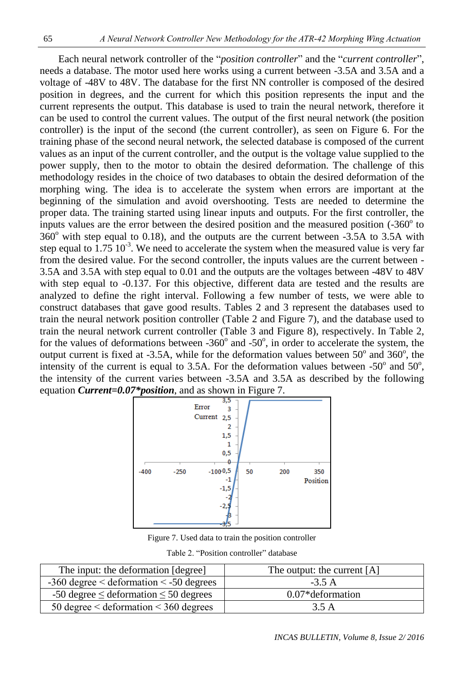Each neural network controller of the "*position controller*" and the "*current controller*", needs a database. The motor used here works using a current between -3.5A and 3.5A and a voltage of -48V to 48V. The database for the first NN controller is composed of the desired position in degrees, and the current for which this position represents the input and the current represents the output. This database is used to train the neural network, therefore it can be used to control the current values. The output of the first neural network (the position controller) is the input of the second (the current controller), as seen on Figure 6. For the training phase of the second neural network, the selected database is composed of the current values as an input of the current controller, and the output is the voltage value supplied to the power supply, then to the motor to obtain the desired deformation. The challenge of this methodology resides in the choice of two databases to obtain the desired deformation of the morphing wing. The idea is to accelerate the system when errors are important at the beginning of the simulation and avoid overshooting. Tests are needed to determine the proper data. The training started using linear inputs and outputs. For the first controller, the inputs values are the error between the desired position and the measured position  $(-360^\circ$  to  $360^\circ$  with step equal to 0.18), and the outputs are the current between  $-3.5A$  to 3.5A with step equal to  $1.75 \times 10^{-3}$ . We need to accelerate the system when the measured value is very far from the desired value. For the second controller, the inputs values are the current between - 3.5A and 3.5A with step equal to 0.01 and the outputs are the voltages between -48V to 48V with step equal to -0.137. For this objective, different data are tested and the results are analyzed to define the right interval. Following a few number of tests, we were able to construct databases that gave good results. Tables 2 and 3 represent the databases used to train the neural network position controller (Table 2 and Figure 7), and the database used to train the neural network current controller (Table 3 and Figure 8), respectively. In Table 2, for the values of deformations between  $-360^\circ$  and  $-50^\circ$ , in order to accelerate the system, the output current is fixed at -3.5A, while for the deformation values between  $50^{\circ}$  and  $360^{\circ}$ , the intensity of the current is equal to 3.5A. For the deformation values between  $-50^{\circ}$  and  $50^{\circ}$ , the intensity of the current varies between -3.5A and 3.5A as described by the following equation *Current=0.07\*position*, and as shown in Figure 7.



Figure 7. Used data to train the position controller

| The input: the deformation [degree]               | The output: the current $[A]$ |
|---------------------------------------------------|-------------------------------|
| $-360$ degree $\le$ deformation $\le$ -50 degrees | $-3.5A$                       |
| $-50$ degree $\leq$ deformation $\leq$ 50 degrees | $0.07*$ deformation           |
| 50 degree $\le$ deformation $\le$ 360 degrees     | 3.5 A                         |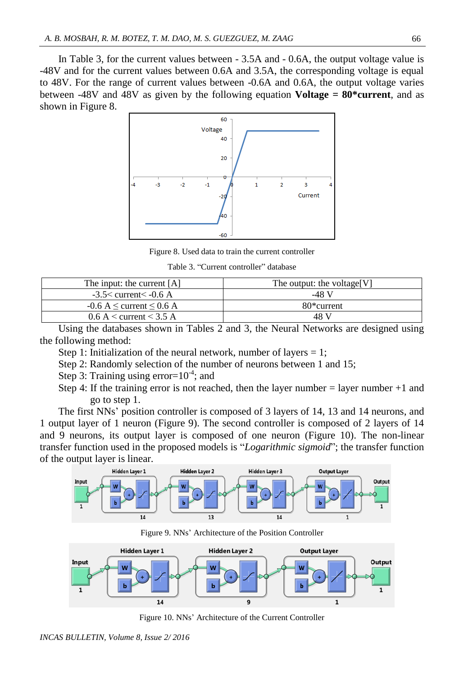In Table 3, for the current values between - 3.5A and - 0.6A, the output voltage value is -48V and for the current values between 0.6A and 3.5A, the corresponding voltage is equal to 48V. For the range of current values between -0.6A and 0.6A, the output voltage varies between -48V and 48V as given by the following equation **Voltage** *=* **80\*current**, and as shown in Figure 8.



Figure 8. Used data to train the current controller

Table 3. "Current controller" database

| The input: the current [A]           | The output: the voltage [V] |
|--------------------------------------|-----------------------------|
| $-3.5<$ current $<$ -0.6 A           | -48 V                       |
| $-0.6$ A $\leq$ current $\leq$ 0.6 A | 80 <sup>*</sup> current     |
| $0.6 A <$ current $\leq 3.5 A$       | 48 V                        |

Using the databases shown in Tables 2 and 3, the Neural Networks are designed using the following method:

- Step 1: Initialization of the neural network, number of layers  $= 1$ ;
- Step 2: Randomly selection of the number of neurons between 1 and 15;
- Step 3: Training using error= $10^{-4}$ ; and
- Step 4: If the training error is not reached, then the layer number = layer number +1 and go to step 1.

The first NNs' position controller is composed of 3 layers of 14, 13 and 14 neurons, and 1 output layer of 1 neuron (Figure 9). The second controller is composed of 2 layers of 14 and 9 neurons, its output layer is composed of one neuron (Figure 10). The non-linear transfer function used in the proposed models is "*Logarithmic sigmoid*"; the transfer function of the output layer is linear.



Figure 9. NNs' Architecture of the Position Controller



Figure 10. NNs' Architecture of the Current Controller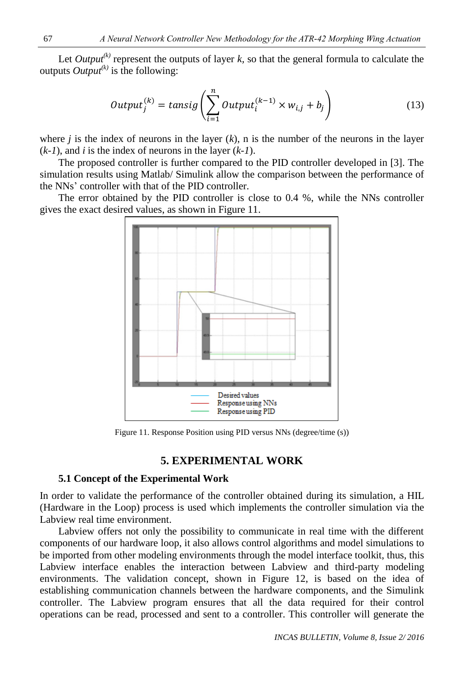Let *Output*<sup>(k)</sup> represent the outputs of layer *k*, so that the general formula to calculate the outputs  $Output^{(k)}$  is the following:

$$
Output_j^{(k)} = \text{tansig}\left(\sum_{i=1}^n Output_i^{(k-1)} \times w_{i,j} + b_j\right) \tag{13}
$$

where  $j$  is the index of neurons in the layer  $(k)$ , n is the number of the neurons in the layer (*k-1*), and *i* is the index of neurons in the layer (*k-1*).

The proposed controller is further compared to the PID controller developed in [3]. The simulation results using Matlab/ Simulink allow the comparison between the performance of the NNs' controller with that of the PID controller.

The error obtained by the PID controller is close to 0.4 %, while the NNs controller gives the exact desired values, as shown in Figure 11.



Figure 11. Response Position using PID versus NNs (degree/time (s))

## **5. EXPERIMENTAL WORK**

#### **5.1 Concept of the Experimental Work**

In order to validate the performance of the controller obtained during its simulation, a HIL (Hardware in the Loop) process is used which implements the controller simulation via the Labview real time environment.

Labview offers not only the possibility to communicate in real time with the different components of our hardware loop, it also allows control algorithms and model simulations to be imported from other modeling environments through the model interface toolkit, thus, this Labview interface enables the interaction between Labview and third-party modeling environments. The validation concept, shown in Figure 12, is based on the idea of establishing communication channels between the hardware components, and the Simulink controller. The Labview program ensures that all the data required for their control operations can be read, processed and sent to a controller. This controller will generate the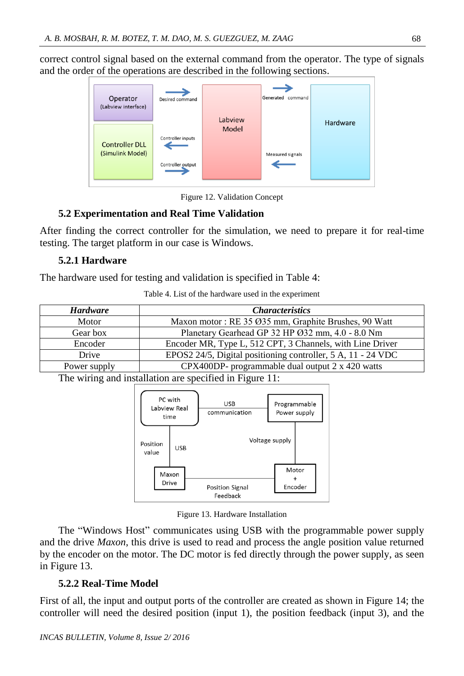correct control signal based on the external command from the operator. The type of signals and the order of the operations are described in the following sections.



Figure 12. Validation Concept

## **5.2 Experimentation and Real Time Validation**

After finding the correct controller for the simulation, we need to prepare it for real-time testing. The target platform in our case is Windows.

## **5.2.1 Hardware**

The hardware used for testing and validation is specified in Table 4:

|  | Table 4. List of the hardware used in the experiment |  |  |
|--|------------------------------------------------------|--|--|
|  |                                                      |  |  |

| <b>Hardware</b> | <i>Characteristics</i>                                       |
|-----------------|--------------------------------------------------------------|
| Motor           | Maxon motor: RE 35 Ø35 mm, Graphite Brushes, 90 Watt         |
| Gear box        | Planetary Gearhead GP 32 HP Ø32 mm, 4.0 - 8.0 Nm             |
| Encoder         | Encoder MR, Type L, 512 CPT, 3 Channels, with Line Driver    |
| Drive           | EPOS2 24/5, Digital positioning controller, 5 A, 11 - 24 VDC |
| Power supply    | CPX400DP- programmable dual output 2 x 420 watts             |

The wiring and installation are specified in Figure 11:



Figure 13. Hardware Installation

The "Windows Host" communicates using USB with the programmable power supply and the drive *Maxon*, this drive is used to read and process the angle position value returned by the encoder on the motor. The DC motor is fed directly through the power supply, as seen in Figure 13.

## **5.2.2 Real-Time Model**

First of all, the input and output ports of the controller are created as shown in Figure 14; the controller will need the desired position (input 1), the position feedback (input 3), and the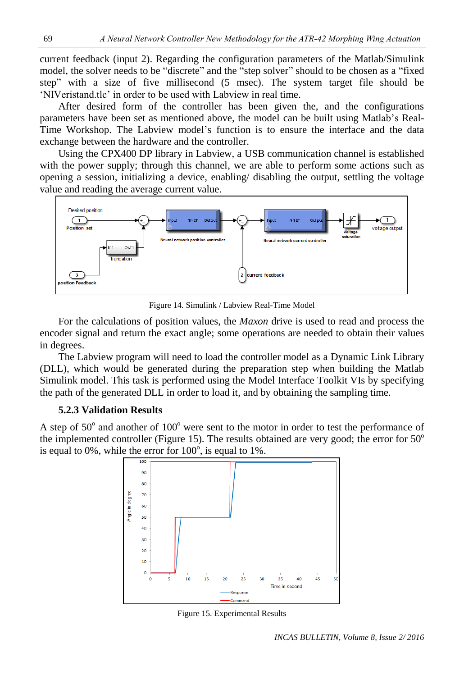current feedback (input 2). Regarding the configuration parameters of the Matlab/Simulink model, the solver needs to be "discrete" and the "step solver" should to be chosen as a "fixed step" with a size of five millisecond (5 msec). The system target file should be 'NIVeristand.tlc' in order to be used with Labview in real time.

After desired form of the controller has been given the, and the configurations parameters have been set as mentioned above, the model can be built using Matlab's Real-Time Workshop. The Labview model's function is to ensure the interface and the data exchange between the hardware and the controller.

Using the CPX400 DP library in Labview, a USB communication channel is established with the power supply; through this channel, we are able to perform some actions such as opening a session, initializing a device, enabling/ disabling the output, settling the voltage value and reading the average current value.



Figure 14. Simulink / Labview Real-Time Model

For the calculations of position values, the *Maxon* drive is used to read and process the encoder signal and return the exact angle; some operations are needed to obtain their values in degrees.

The Labview program will need to load the controller model as a Dynamic Link Library (DLL), which would be generated during the preparation step when building the Matlab Simulink model. This task is performed using the Model Interface Toolkit VIs by specifying the path of the generated DLL in order to load it, and by obtaining the sampling time.

### **5.2.3 Validation Results**

A step of  $50^{\circ}$  and another of  $100^{\circ}$  were sent to the motor in order to test the performance of the implemented controller (Figure 15). The results obtained are very good; the error for  $50^{\circ}$ is equal to 0%, while the error for  $100^\circ$ , is equal to 1%.



Figure 15. Experimental Results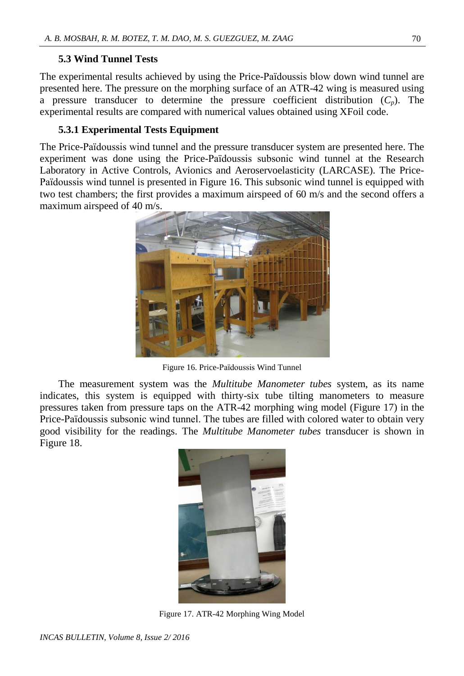## **5.3 Wind Tunnel Tests**

The experimental results achieved by using the Price-Païdoussis blow down wind tunnel are presented here. The pressure on the morphing surface of an ATR-42 wing is measured using a pressure transducer to determine the pressure coefficient distribution  $(C_p)$ . The experimental results are compared with numerical values obtained using XFoil code.

## **5.3.1 Experimental Tests Equipment**

The Price-Païdoussis wind tunnel and the pressure transducer system are presented here. The experiment was done using the Price-Païdoussis subsonic wind tunnel at the Research Laboratory in Active Controls, Avionics and Aeroservoelasticity (LARCASE). The Price-Païdoussis wind tunnel is presented in Figure 16. This subsonic wind tunnel is equipped with two test chambers; the first provides a maximum airspeed of 60 m/s and the second offers a maximum airspeed of 40 m/s.



Figure 16. Price-Païdoussis Wind Tunnel

The measurement system was the *Multitube Manometer tubes* system, as its name indicates, this system is equipped with thirty-six tube tilting manometers to measure pressures taken from pressure taps on the ATR-42 morphing wing model (Figure 17) in the Price-Païdoussis subsonic wind tunnel. The tubes are filled with colored water to obtain very good visibility for the readings. The *Multitube Manometer tubes* transducer is shown in Figure 18.



Figure 17. ATR-42 Morphing Wing Model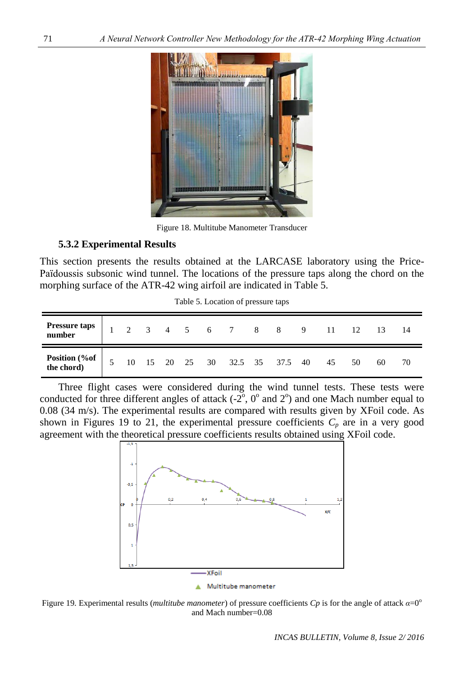

Figure 18. Multitube Manometer Transducer

#### **5.3.2 Experimental Results**

This section presents the results obtained at the LARCASE laboratory using the Price-Païdoussis subsonic wind tunnel. The locations of the pressure taps along the chord on the morphing surface of the ATR-42 wing airfoil are indicated in Table 5.

| Pressure taps<br>number       |                |  |  | $1 \t2 \t3 \t4 \t5 \t6 \t7 \t8 \t8 \t9 \t11 \t12 \t13$ |  |    |    |    |    |
|-------------------------------|----------------|--|--|--------------------------------------------------------|--|----|----|----|----|
| Position (%of  <br>the chord) | 5 <sup>5</sup> |  |  | 10  15  20  25  30  32.5  35  37.5  40                 |  | 45 | 50 | 60 | 70 |

Table 5. Location of pressure taps

Three flight cases were considered during the wind tunnel tests. These tests were conducted for three different angles of attack  $(-2^{\circ}, 0^{\circ}$  and  $2^{\circ})$  and one Mach number equal to 0.08 (34 m/s). The experimental results are compared with results given by XFoil code. As shown in Figures 19 to 21, the experimental pressure coefficients  $C_p$  are in a very good agreement with the theoretical pressure coefficients results obtained using XFoil code.



Figure 19. Experimental results (*multitube manometer*) of pressure coefficients *Cp* is for the angle of attack  $α=0^\circ$ and Mach number=0.08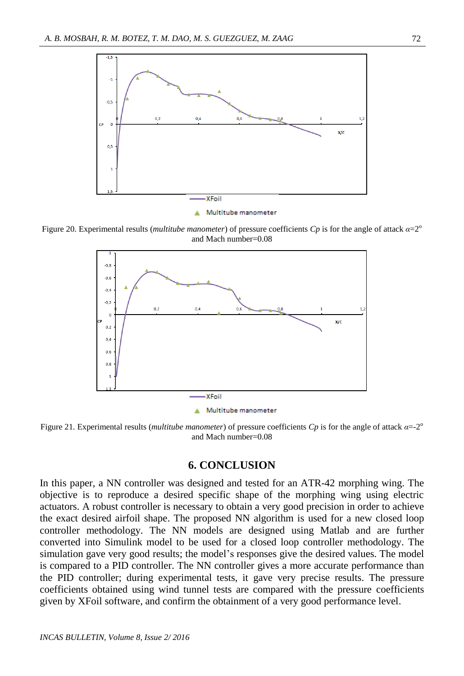

Figure 20. Experimental results (*multitube manometer*) of pressure coefficients  $C_p$  is for the angle of attack  $\alpha = 2^{\circ}$ and Mach number=0.08



Figure 21. Experimental results (*multitube manometer*) of pressure coefficients *Cp* is for the angle of attack *α*=-2 o and Mach number=0.08

#### **6. CONCLUSION**

In this paper, a NN controller was designed and tested for an ATR-42 morphing wing. The objective is to reproduce a desired specific shape of the morphing wing using electric actuators. A robust controller is necessary to obtain a very good precision in order to achieve the exact desired airfoil shape. The proposed NN algorithm is used for a new closed loop controller methodology. The NN models are designed using Matlab and are further converted into Simulink model to be used for a closed loop controller methodology. The simulation gave very good results; the model's responses give the desired values. The model is compared to a PID controller. The NN controller gives a more accurate performance than the PID controller; during experimental tests, it gave very precise results. The pressure coefficients obtained using wind tunnel tests are compared with the pressure coefficients given by XFoil software, and confirm the obtainment of a very good performance level.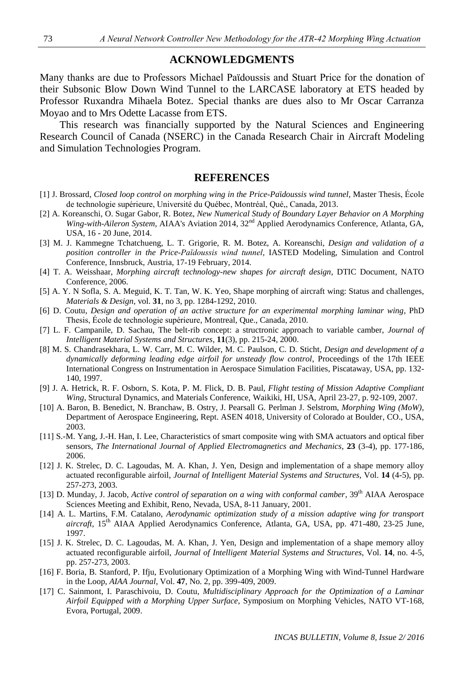## **ACKNOWLEDGMENTS**

Many thanks are due to Professors Michael Paϊdoussis and Stuart Price for the donation of their Subsonic Blow Down Wind Tunnel to the LARCASE laboratory at ETS headed by Professor Ruxandra Mihaela Botez. Special thanks are dues also to Mr Oscar Carranza Moyao and to Mrs Odette Lacasse from ETS.

This research was financially supported by the Natural Sciences and Engineering Research Council of Canada (NSERC) in the Canada Research Chair in Aircraft Modeling and Simulation Technologies Program.

#### **REFERENCES**

- [1] J. Brossard, *Closed loop control on morphing wing in the Price-Pa*ï*doussis wind tunnel*, Master Thesis, École de technologie supérieure, Université du Québec, Montréal, Qué,, Canada, 2013.
- [2] A. Koreanschi, O. Sugar Gabor, R. Botez, *New Numerical Study of Boundary Layer Behavior on A Morphing Wing-with-Aileron System*, AIAA's Aviation 2014, 32<sup>nd</sup> Applied Aerodynamics Conference, Atlanta, GA, USA, 16 - 20 June, 2014.
- [3] M. J. Kammegne Tchatchueng, L. T. Grigorie, R. M. Botez, A. Koreanschi, *Design and validation of a position controller in the Price-Païdoussis wind tunnel,* IASTED Modeling, Simulation and Control Conference, Innsbruck, Austria, 17-19 February, 2014.
- [4] T. A. Weisshaar, *Morphing aircraft technology-new shapes for aircraft design*, DTIC Document, NATO Conference, 2006.
- [5] A. Y. N Sofla, S. A. Meguid, K. T. Tan, W. K. Yeo, Shape morphing of aircraft wing: Status and challenges, *Materials & Design*, vol. **31**, no 3, pp. 1284-1292, 2010.
- [6] D. Coutu, *Design and operation of an active structure for an experimental morphing laminar wing*, PhD Thesis, École de technologie supérieure, Montreal, Que., Canada, 2010.
- [7] L. F. Campanile, D. Sachau, The belt-rib concept: a structronic approach to variable camber, *Journal of Intelligent Material Systems and Structures*, **11**(3), pp. 215-24, 2000.
- [8] M. S. Chandrasekhara, L. W. Carr, M. C. Wilder, M. C. Paulson, C. D. Sticht, *Design and development of a dynamically deforming leading edge airfoil for unsteady flow control*, Proceedings of the 17th IEEE International Congress on Instrumentation in Aerospace Simulation Facilities, Piscataway, USA, pp. 132- 140, 1997.
- [9] J. A. Hetrick, R. F. Osborn, S. Kota, P. M. Flick, D. B. Paul, *Flight testing of Mission Adaptive Compliant Wing*, Structural Dynamics, and Materials Conference, Waikiki, HI, USA, April 23-27, p. 92-109, 2007.
- [10] A. Baron, B. Benedict, N. Branchaw, B. Ostry, J. Pearsall G. Perlman J. Selstrom, *Morphing Wing (MoW)*, Department of Aerospace Engineering, Rept. ASEN 4018, University of Colorado at Boulder, CO., USA, 2003.
- [11] S.-M. Yang, J.-H. Han, I. Lee, Characteristics of smart composite wing with SMA actuators and optical fiber sensors, *The International Journal of Applied Electromagnetics and Mechanics*, **23** (3-4), pp. 177-186, 2006.
- [12] J. K. Strelec, D. C. Lagoudas, M. A. Khan, J. Yen, Design and implementation of a shape memory alloy actuated reconfigurable airfoil, *Journal of Intelligent Material Systems and Structures*, Vol. **14** (4-5), pp. 257-273, 2003.
- [13] D. Munday, J. Jacob, *Active control of separation on a wing with conformal camber*, 39<sup>th</sup> AIAA Aerospace Sciences Meeting and Exhibit, Reno, Nevada, USA, 8-11 January, 2001.
- [14] A. L. Martins, F.M. Catalano, *Aerodynamic optimization study of a mission adaptive wing for transport aircraft*, 15th AIAA Applied Aerodynamics Conference, Atlanta, GA, USA, pp. 471-480, 23-25 June, 1997.
- [15] J. K. Strelec, D. C. Lagoudas, M. A. Khan, J. Yen, Design and implementation of a shape memory alloy actuated reconfigurable airfoil, *Journal of Intelligent Material Systems and Structures*, Vol. **14**, no. 4-5, pp. 257-273, 2003.
- [16] F. Boria, B. Stanford, P. Ifju, Evolutionary Optimization of a Morphing Wing with Wind-Tunnel Hardware in the Loop, *AIAA Journal*, Vol. **47**, No. 2, pp. 399-409, 2009.
- [17] C. Sainmont, I. Paraschivoiu, D. Coutu, *Multidisciplinary Approach for the Optimization of a Laminar Airfoil Equipped with a Morphing Upper Surface*, Symposium on Morphing Vehicles, NATO VT-168, Evora, Portugal, 2009.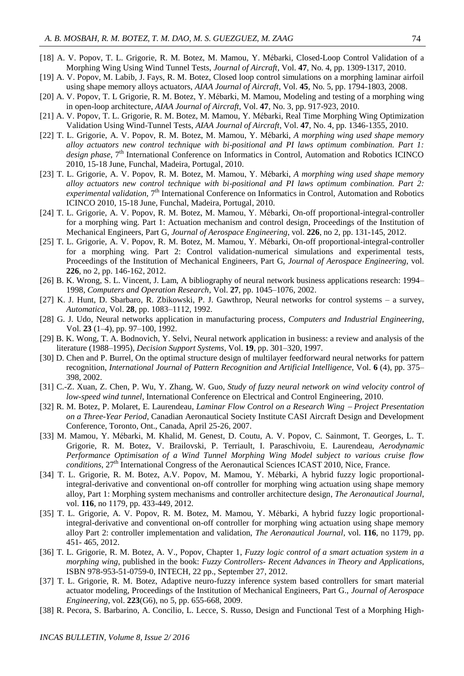- [18] A. V. Popov, T. L. Grigorie, R. M. Botez, M. Mamou, Y. Mébarki, Closed-Loop Control Validation of a Morphing Wing Using Wind Tunnel Tests, *Journal of Aircraft*, Vol. **47**, No. 4, pp. 1309-1317, 2010.
- [19] A. V. Popov, M. Labib, J. Fays, R. M. Botez, Closed loop control simulations on a morphing laminar airfoil using shape memory alloys actuators, *AIAA Journal of Aircraft*, Vol. **45**, No. 5, pp. 1794-1803, 2008.
- [20] A. V. Popov, T. L Grigorie, R. M. Botez, Y. Mébarki, M. Mamou, Modeling and testing of a morphing wing in open-loop architecture, *AIAA Journal of Aircraft*, Vol. **47**, No. 3, pp. 917-923, 2010.
- [21] A. V. Popov, T. L. Grigorie, R. M. Botez, M. Mamou, Y. Mébarki, Real Time Morphing Wing Optimization Validation Using Wind-Tunnel Tests, *AIAA Journal of Aircraft*, Vol. **47**, No. 4, pp. 1346-1355, 2010.
- [22] T. L. Grigorie, A. V. Popov, R. M. Botez, M. Mamou, Y. Mébarki, *A morphing wing used shape memory alloy actuators new control technique with bi-positional and PI laws optimum combination. Part 1:*  design phase, 7<sup>th</sup> International Conference on Informatics in Control, Automation and Robotics ICINCO 2010, 15-18 June, Funchal, Madeira, Portugal, 2010.
- [23] T. L. Grigorie, A. V. Popov, R. M. Botez, M. Mamou, Y. Mébarki, *A morphing wing used shape memory alloy actuators new control technique with bi-positional and PI laws optimum combination. Part 2:*  experimental validation, 7<sup>th</sup> International Conference on Informatics in Control, Automation and Robotics ICINCO 2010, 15-18 June, Funchal, Madeira, Portugal, 2010.
- [24] T. L. Grigorie, A. V. Popov, R. M. Botez, M. Mamou, Y. Mébarki*,* On-off proportional-integral-controller for a morphing wing. Part 1: Actuation mechanism and control design, Proceedings of the Institution of Mechanical Engineers, Part G, *Journal of Aerospace Engineering*, vol. **226**, no 2, pp. 131-145, 2012.
- [25] T. L. Grigorie, A. V. Popov, R. M. Botez, M. Mamou, Y. Mébarki, On-off proportional-integral-controller for a morphing wing. Part 2: Control validation-numerical simulations and experimental tests, Proceedings of the Institution of Mechanical Engineers, Part G, *Journal of Aerospace Engineering*, vol. **226**, no 2, pp. 146-162, 2012.
- [26] B. K. Wrong, S. L. Vincent, J. Lam, A bibliography of neural network business applications research: 1994– 1998, *Computers and Operation Research*, Vol. **27**, pp. 1045–1076, 2002.
- [27] K. J. Hunt, D. Sbarbaro, R. Zbikowski, P. J. Gawthrop, Neural networks for control systems a survey, *Automatica*, Vol. **28**, pp. 1083–1112, 1992.
- [28] G. J. Udo, Neural networks application in manufacturing process, *Computers and Industrial Engineering*, Vol. **23** (1–4), pp. 97–100, 1992.
- [29] B. K. Wong, T. A. Bodnovich, Y. Selvi, Neural network application in business: a review and analysis of the literature (1988–1995), *Decision Support Systems*, Vol. **19**, pp. 301–320, 1997.
- [30] D. Chen and P. Burrel, On the optimal structure design of multilayer feedforward neural networks for pattern recognition, *International Journal of Pattern Recognition and Artificial Intelligence*, Vol. **6** (4), pp. 375– 398, 2002.
- [31] C.-Z. Xuan, Z. Chen, P. Wu, Y. Zhang, W. Guo, *Study of fuzzy neural network on wind velocity control of low-speed wind tunnel*, International Conference on Electrical and Control Engineering, 2010.
- [32] R. M. Botez, P. Molaret, E. Laurendeau, *Laminar Flow Control on a Research Wing Project Presentation on a Three-Year Period*, Canadian Aeronautical Society Institute CASI Aircraft Design and Development Conference, Toronto, Ont., Canada, April 25-26, 2007.
- [33] M. Mamou, Y. Mébarki, M. Khalid, M. Genest, D. Coutu, A. V. Popov, C. Sainmont, T. Georges, L. T. Grigorie, R. M. Botez, V. Brailovski, P. Terriault, I. Paraschivoiu, E. Laurendeau, *Aerodynamic Performance Optimisation of a Wind Tunnel Morphing Wing Model subject to various cruise flow conditions*,  $27<sup>th</sup>$  International Congress of the Aeronautical Sciences ICAST 2010, Nice, France.
- [34] T. L. Grigorie, R. M. Botez, A.V. Popov, M. Mamou, Y. Mébarki, A hybrid fuzzy logic proportionalintegral-derivative and conventional on-off controller for morphing wing actuation using shape memory alloy, Part 1: Morphing system mechanisms and controller architecture design, *The Aeronautical Journal*, vol. **116**, no 1179, pp. 433-449, 2012.
- [35] T. L. Grigorie, A. V. Popov, R. M. Botez, M. Mamou, Y. Mébarki, A hybrid fuzzy logic proportionalintegral-derivative and conventional on-off controller for morphing wing actuation using shape memory alloy Part 2: controller implementation and validation, *The Aeronautical Journal*, vol. **116**, no 1179, pp. 451- 465, 2012.
- [36] T. L. Grigorie, R. M. Botez, A. V., Popov, Chapter 1, *Fuzzy logic control of a smart actuation system in a morphing wing*, published in the book: *Fuzzy Controllers- Recent Advances in Theory and Applications*, ISBN 978-953-51-0759-0, INTECH, 22 pp., September 27, 2012.
- [37] T. L. Grigorie, R. M. Botez, Adaptive neuro-fuzzy inference system based controllers for smart material actuator modeling, Proceedings of the Institution of Mechanical Engineers, Part G., *Journal of Aerospace Engineering*, vol. **223**(G6), no 5, pp. 655-668, 2009.
- [38] R. Pecora, S. Barbarino, A. Concilio, L. Lecce, S. Russo, Design and Functional Test of a Morphing High-